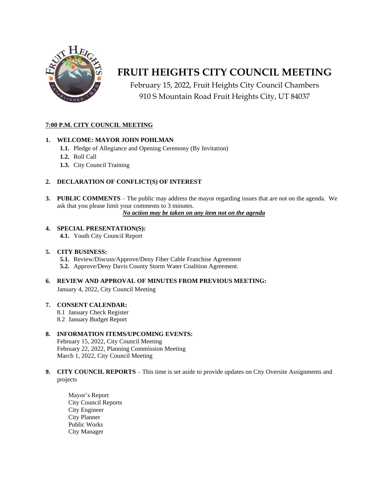

# **FRUIT HEIGHTS CITY COUNCIL MEETING**

February 15, 2022, Fruit Heights City Council Chambers 910 S Mountain Road Fruit Heights City, UT 84037

#### **7:00 P.M. CITY COUNCIL MEETING**

#### **1. WELCOME: MAYOR JOHN POHLMAN**

- **1.1.** Pledge of Allegiance and Opening Ceremony (By Invitation)
- **1.2.** Roll Call
- **1.3.** City Council Training

#### **2. DECLARATION OF CONFLICT(S) OF INTEREST**

**3. PUBLIC COMMENTS** – The public may address the mayor regarding issues that are not on the agenda. We ask that you please limit your comments to 3 minutes.

*No action may be taken on any item not on the agenda*

#### **4. SPECIAL PRESENTATION(S):**

**4.1.** Youth City Council Report

#### **5. CITY BUSINESS:**

- **5.1.** Review/Discuss/Approve/Deny Fiber Cable Franchise Agreement
- **5.2.** Approve/Deny Davis County Storm Water Coalition Agreement.
- **6. REVIEW AND APPROVAL OF MINUTES FROM PREVIOUS MEETING:** January 4, 2022, City Council Meeting

#### **7. CONSENT CALENDAR:**

- 8.1 January Check Register
- 8.2 January Budget Report

#### **8. INFORMATION ITEMS/UPCOMING EVENTS:**

February 15, 2022, City Council Meeting February 22, 2022, Planning Commission Meeting March 1, 2022, City Council Meeting

#### **9. CITY COUNCIL REPORTS** – This time is set aside to provide updates on City Oversite Assignments and projects

Mayor's Report City Council Reports City Engineer City Planner Public Works City Manager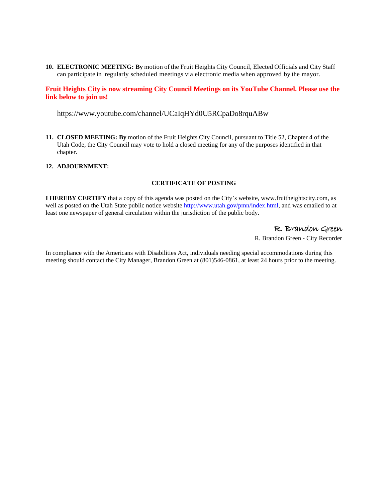**10. ELECTRONIC MEETING: By** motion of the Fruit Heights City Council, Elected Officials and City Staff can participate in regularly scheduled meetings via electronic media when approved by the mayor.

#### **Fruit Heights City is now streaming City Council Meetings on its YouTube Channel. Please use the link below to join us!**

#### <https://www.youtube.com/channel/UCaIqHYd0U5RCpaDo8rquABw>

**11. CLOSED MEETING: By** motion of the Fruit Heights City Council, pursuant to Title 52, Chapter 4 of the Utah Code, the City Council may vote to hold a closed meeting for any of the purposes identified in that chapter.

#### **12. ADJOURNMENT:**

#### **CERTIFICATE OF POSTING**

**I HEREBY CERTIFY** that a copy of this agenda was posted on the City's website, [www.fruitheightscity.com,](http://www.fruitheightscity.com/) as well as posted on the Utah State public notice website http://www.utah.gov/pmn/index.html, and was emailed to at least one newspaper of general circulation within the jurisdiction of the public body.

### R. Brandon Green

R. Brandon Green - City Recorder

In compliance with the Americans with Disabilities Act, individuals needing special accommodations during this meeting should contact the City Manager, Brandon Green at (801)546-0861, at least 24 hours prior to the meeting.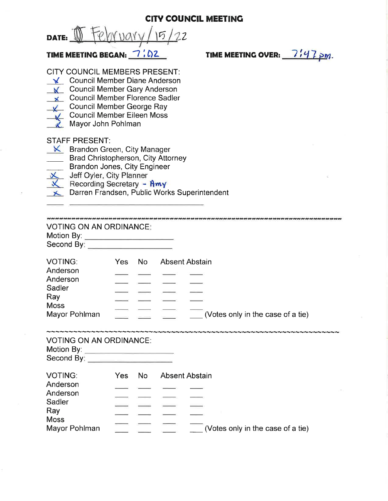**CITY COUNCIL MEETING** 

February/15/22 DATE:  $\mathbb{U}$ 

## TIME MEETING BEGAN:  $\frac{7.02}{5.02}$

**CITY COUNCIL MEMBERS PRESENT:** 

- ↓ Council Member Diane Anderson
- K Council Member Gary Anderson
- **x** Council Member Florence Sadler
- Council Member George Ray
- Council Member Eileen Moss
- Mayor John Pohlman

### **STAFF PRESENT:**

- $K$  Brandon Green, City Manager
	- Brad Christopherson, City Attorney
	- Brandon Jones, City Engineer
- Jeff Oyler, City Planner
- Recording Secretary Amy
- ← Darren Frandsen, Public Works Superintendent

**VOTING ON AN ORDINANCE:** 

| Motion By: |  |
|------------|--|
| Second By: |  |

| <b>VOTING:</b>       | Yes. | No. | Absent Abstain |                                   |  |
|----------------------|------|-----|----------------|-----------------------------------|--|
| Anderson<br>Anderson |      |     |                |                                   |  |
|                      |      |     |                |                                   |  |
| Sadler<br>Ray        |      |     |                |                                   |  |
|                      |      |     |                |                                   |  |
| <b>Moss</b>          |      |     |                |                                   |  |
| Mayor Pohlman        |      |     |                | (Votes only in the case of a tie) |  |

### **VOTING ON AN ORDINANCE:**

| Motion By: |  |
|------------|--|
| Second By: |  |

| <b>VOTING:</b>       | Yes. | No. | <b>Absent Abstain</b> |                                   |
|----------------------|------|-----|-----------------------|-----------------------------------|
| Anderson<br>Anderson |      |     |                       |                                   |
|                      |      |     |                       |                                   |
| Sadler<br>Ray        |      |     |                       |                                   |
|                      |      |     |                       |                                   |
| <b>Moss</b>          |      |     |                       |                                   |
| Mayor Pohlman        |      |     |                       | (Votes only in the case of a tie) |

TIME MEETING OVER:  $7/7 p$ m.